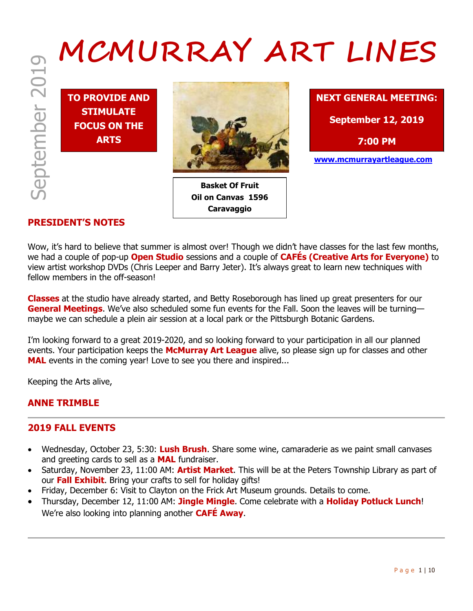# MCMURRAY ART LINES

**TO PROVIDE AND STIMULATE FOCUS ON THE ARTS**



**Basket Of Fruit Oil on Canvas 1596 Caravaggio**



**7:00 PM**

**www.mcmurrayartleague.com**

# **PRESIDENT'S NOTES**

Wow, it's hard to believe that summer is almost over! Though we didn't have classes for the last few months, we had a couple of pop-up **Open Studio** sessions and a couple of **CAFÉs (Creative Arts for Everyone)** to view artist workshop DVDs (Chris Leeper and Barry Jeter). It's always great to learn new techniques with fellow members in the off-season!

**Classes** at the studio have already started, and Betty Roseborough has lined up great presenters for our **General Meetings**. We've also scheduled some fun events for the Fall. Soon the leaves will be turning maybe we can schedule a plein air session at a local park or the Pittsburgh Botanic Gardens.

I'm looking forward to a great 2019-2020, and so looking forward to your participation in all our planned events. Your participation keeps the **McMurray Art League** alive, so please sign up for classes and other **MAL** events in the coming year! Love to see you there and inspired...

Keeping the Arts alive,

# **ANNE TRIMBLE**

# **2019 FALL EVENTS**

- Wednesday, October 23, 5:30: **Lush Brush**. Share some wine, camaraderie as we paint small canvases and greeting cards to sell as a **MAL** fundraiser.
- Saturday, November 23, 11:00 AM: **Artist Market**. This will be at the Peters Township Library as part of our **Fall Exhibit**. Bring your crafts to sell for holiday gifts!
- Friday, December 6: Visit to Clayton on the Frick Art Museum grounds. Details to come.
- Thursday, December 12, 11:00 AM: **Jingle Mingle**. Come celebrate with a **Holiday Potluck Lunch**! We're also looking into planning another **CAFÉ Away**.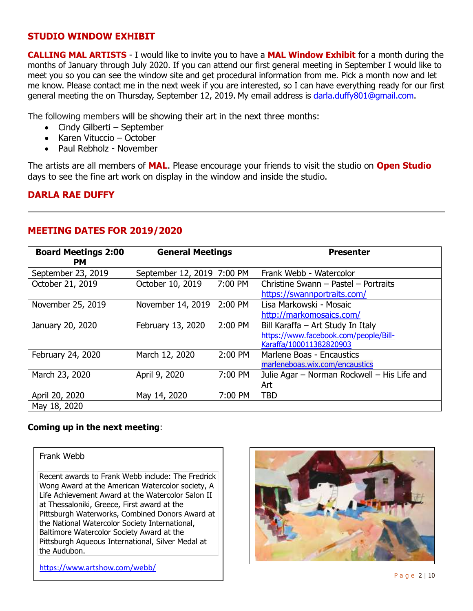### **STUDIO WINDOW EXHIBIT**

**CALLING MAL ARTISTS** - I would like to invite you to have a **MAL Window Exhibit** for a month during the months of January through July 2020. If you can attend our first general meeting in September I would like to meet you so you can see the window site and get procedural information from me. Pick a month now and let me know. Please contact me in the next week if you are interested, so I can have everything ready for our first general meeting the on Thursday, September 12, 2019. My email address is [darla.duffy801@gmail.com.](file:///C:/Users/prebh/Desktop/darla.duffy801@gmail.com)

The following members will be showing their art in the next three months:

- Cindy Gilberti September
- Karen Vituccio October
- Paul Rebholz November

The artists are all members of **MAL**. Please encourage your friends to visit the studio on **Open Studio** days to see the fine art work on display in the window and inside the studio.

# **DARLA RAE DUFFY**

| <b>Board Meetings 2:00</b><br>PM. | <b>General Meetings</b>    |         | <b>Presenter</b>                            |  |
|-----------------------------------|----------------------------|---------|---------------------------------------------|--|
| September 23, 2019                | September 12, 2019 7:00 PM |         | Frank Webb - Watercolor                     |  |
| October 21, 2019                  | October 10, 2019           | 7:00 PM | Christine Swann - Pastel - Portraits        |  |
|                                   |                            |         | https://swannportraits.com/                 |  |
| November 25, 2019                 | November 14, 2019 2:00 PM  |         | Lisa Markowski - Mosaic                     |  |
|                                   |                            |         | http://markomosaics.com/                    |  |
| January 20, 2020                  | February 13, 2020          | 2:00 PM | Bill Karaffa - Art Study In Italy           |  |
|                                   |                            |         | https://www.facebook.com/people/Bill-       |  |
|                                   |                            |         | Karaffa/100011382820903                     |  |
| February 24, 2020                 | March 12, 2020             | 2:00 PM | Marlene Boas - Encaustics                   |  |
|                                   |                            |         | marleneboas.wix.com/encaustics              |  |
| March 23, 2020                    | April 9, 2020              | 7:00 PM | Julie Agar – Norman Rockwell – His Life and |  |
|                                   |                            |         | Art                                         |  |
| April 20, 2020                    | May 14, 2020               | 7:00 PM | <b>TBD</b>                                  |  |
| May 18, 2020                      |                            |         |                                             |  |

# **MEETING DATES FOR 2019/2020**

### **Coming up in the next meeting**:

### Frank Webb

Recent awards to Frank Webb include: The Fredrick Wong Award at the American Watercolor society, A Life Achievement Award at the Watercolor Salon II at Thessaloniki, Greece, First award at the Pittsburgh Waterworks, Combined Donors Award at the National Watercolor Society International, Baltimore Watercolor Society Award at the Pittsburgh Aqueous International, Silver Medal at the Audubon.



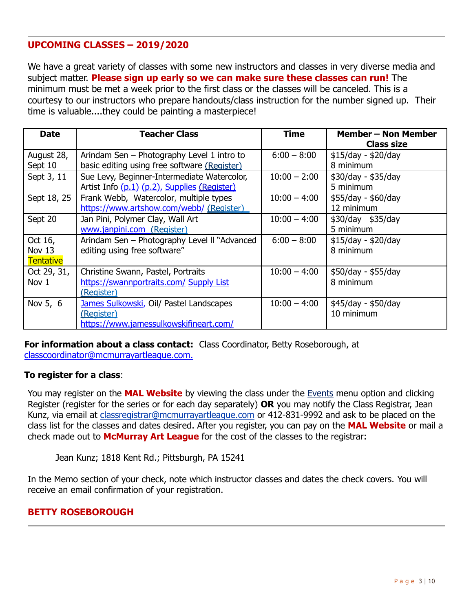# **UPCOMING CLASSES – 2019/2020**

We have a great variety of classes with some new instructors and classes in very diverse media and subject matter. **Please sign up early so we can make sure these classes can run!** The minimum must be met a week prior to the first class or the classes will be canceled. This is a courtesy to our instructors who prepare handouts/class instruction for the number signed up. Their time is valuable....they could be painting a masterpiece!

| <b>Date</b> | <b>Teacher Class</b>                         | Time           | <b>Member - Non Member</b><br><b>Class size</b> |
|-------------|----------------------------------------------|----------------|-------------------------------------------------|
| August 28,  | Arindam Sen – Photography Level 1 intro to   | $6:00 - 8:00$  | $$15/day - $20/day$                             |
| Sept 10     | basic editing using free software (Register) |                | 8 minimum                                       |
| Sept 3, 11  | Sue Levy, Beginner-Intermediate Watercolor,  | $10:00 - 2:00$ | \$30/day - \$35/day                             |
|             | Artist Info (p.1) (p.2), Supplies (Register) |                | 5 minimum                                       |
| Sept 18, 25 | Frank Webb, Watercolor, multiple types       | $10:00 - 4:00$ | \$55/day - \$60/day                             |
|             | https://www.artshow.com/webb/ (Register)     |                | 12 minimum                                      |
| Sept 20     | Jan Pini, Polymer Clay, Wall Art             | $10:00 - 4:00$ | \$30/day \$35/day                               |
|             | www.janpini.com (Register)                   |                | 5 minimum                                       |
| Oct 16,     | Arindam Sen - Photography Level II "Advanced | $6:00 - 8:00$  | $$15/day - $20/day$                             |
| Nov 13      | editing using free software"                 |                | 8 minimum                                       |
| Tentative   |                                              |                |                                                 |
| Oct 29, 31, | Christine Swann, Pastel, Portraits           | $10:00 - 4:00$ | \$50/day - \$55/day                             |
| Nov 1       | https://swannportraits.com/ Supply List      |                | 8 minimum                                       |
|             | (Register)                                   |                |                                                 |
| Nov 5, 6    | James Sulkowski, Oil/ Pastel Landscapes      | $10:00 - 4:00$ | \$45/day - \$50/day                             |
|             | (Register)                                   |                | 10 minimum                                      |
|             | https://www.jamessulkowskifineart.com/       |                |                                                 |

**For information about a class contact:** Class Coordinator, Betty Roseborough, at

[classcoordinator@mcmurrayartleague.com.](mailto:classcoordinator@mcmurrayartleague.com)

### **To register for a class**:

You may register on the **MAL Website** by viewing the class under the [Events](https://www.mcmurrayartleague.com/page-1498580) menu option and clicking Register (register for the series or for each day separately) **OR** you may notify the Class Registrar, Jean Kunz, via email at [classregistrar@mcmurrayartleague.com](mailto:classregistrar@mcmurrayartleague.com) or 412-831-9992 and ask to be placed on the class list for the classes and dates desired. After you register, you can pay on the **MAL Website** or mail a check made out to **McMurray Art League** for the cost of the classes to the registrar:

Jean Kunz; 1818 Kent Rd.; Pittsburgh, PA 15241

In the Memo section of your check, note which instructor classes and dates the check covers. You will receive an email confirmation of your registration.

### **BETTY ROSEBOROUGH**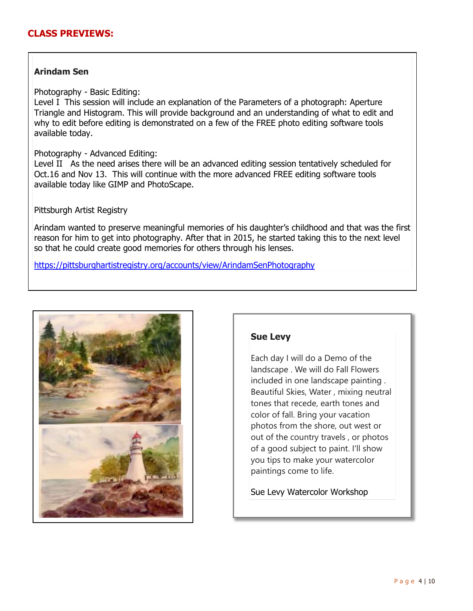### **CLASS PREVIEWS:**

### **Arindam Sen**

Photography - Basic Editing:

Level I This session will include an explanation of the Parameters of a photograph: Aperture Triangle and Histogram. This will provide background and an understanding of what to edit and why to edit before editing is demonstrated on a few of the FREE photo editing software tools available today.

### Photography - Advanced Editing:

Level II As the need arises there will be an advanced editing session tentatively scheduled for Oct.16 and Nov 13. This will continue with the more advanced FREE editing software tools available today like GIMP and PhotoScape.

### Pittsburgh Artist Registry

Arindam wanted to preserve meaningful memories of his daughter's childhood and that was the first reason for him to get into photography. After that in 2015, he started taking this to the next level so that he could create good memories for others through his lenses.

https://pittsburghartistregistry.org/accounts/view/ArindamSenPhotography



### **Sue Levy**

Each day I will do a Demo of the landscape . We will do Fall Flowers included in one landscape painting . Beautiful Skies, Water , mixing neutral tones that recede, earth tones and color of fall. Bring your vacation photos from the shore, out west or out of the country travels , or photos of a good subject to paint. I'll show you tips to make your watercolor paintings come to life.

Sue Levy Watercolor Workshop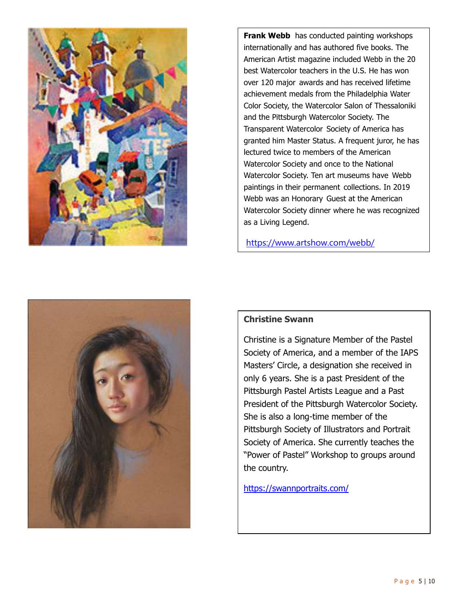

**Frank Webb** has conducted painting workshops internationally and has authored five books. The American Artist magazine included Webb in the 20 best Watercolor teachers in the U.S. He has won over 120 major awards and has received lifetime achievement medals from the Philadelphia Water Color Society, the Watercolor Salon of Thessaloniki and the Pittsburgh Watercolor Society. The Transparent Watercolor Society of America has granted him Master Status. A frequent juror, he has lectured twice to members of the American Watercolor Society and once to the National Watercolor Society. Ten art museums have Webb paintings in their permanent collections. In 2019 Webb was an Honorary Guest at the American Watercolor Society dinner where he was recognized as a Living Legend.

https://www.artshow.com/webb/



### **Christine Swann**

Christine is a Signature Member of the Pastel Society of America, and a member of the IAPS Masters' Circle, a designation she received in only 6 years. She is a past President of the Pittsburgh Pastel Artists League and a Past President of the Pittsburgh Watercolor Society. She is also a long-time member of the Pittsburgh Society of Illustrators and Portrait Society of America. She currently teaches the "Power of Pastel" Workshop to groups around the country.

https://swannportraits.com/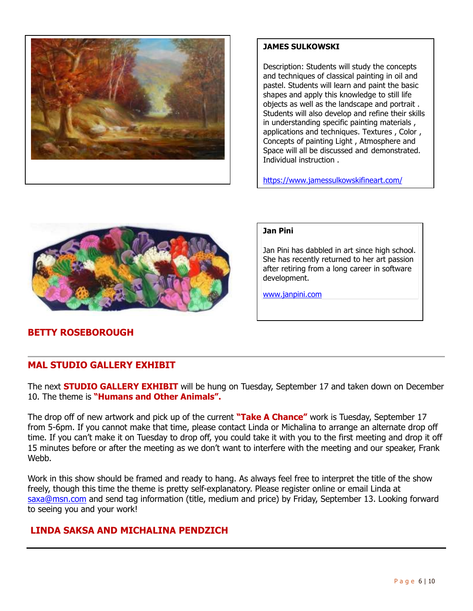

### **JAMES SULKOWSKI**

Description: Students will study the concepts and techniques of classical painting in oil and pastel. Students will learn and paint the basic shapes and apply this knowledge to still life objects as well as the landscape and portrait . Students will also develop and refine their skills in understanding specific painting materials , applications and techniques. Textures , Color , Concepts of painting Light , Atmosphere and Space will all be discussed and demonstrated. Individual instruction .

https://www.jamessulkowskifineart.com/



# **BETTY ROSEBOROUGH**

### **Jan Pini**

Jan Pini has dabbled in art since high school. She has recently returned to her art passion after retiring from a long career in software development.

www.janpini.com

### **MAL STUDIO GALLERY EXHIBIT**

The next **STUDIO GALLERY EXHIBIT** will be hung on Tuesday, September 17 and taken down on December 10. The theme is **"Humans and Other Animals".** 

The drop off of new artwork and pick up of the current **"Take A Chance"** work is Tuesday, September 17 from 5-6pm. If you cannot make that time, please contact Linda or Michalina to arrange an alternate drop off time. If you can't make it on Tuesday to drop off, you could take it with you to the first meeting and drop it off 15 minutes before or after the meeting as we don't want to interfere with the meeting and our speaker, Frank Web<sub>b</sub>.

Work in this show should be framed and ready to hang. As always feel free to interpret the title of the show freely, though this time the theme is pretty self-explanatory. Please register online or email Linda at [saxa@msn.com](mailto:saxa@msn.com) and send tag information (title, medium and price) by Friday, September 13. Looking forward to seeing you and your work!

# **LINDA SAKSA AND MICHALINA PENDZICH**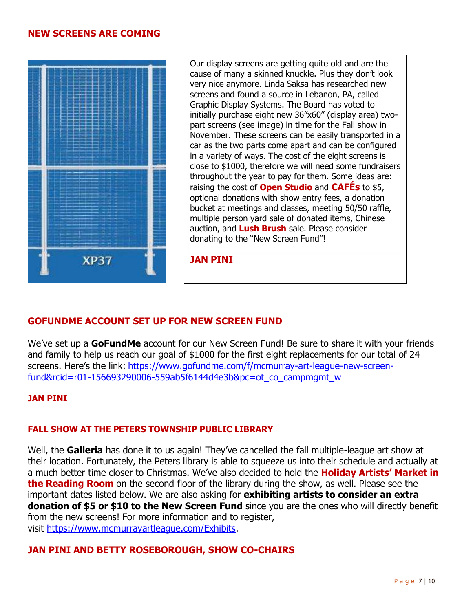### **NEW SCREENS ARE COMING**



Our display screens are getting quite old and are the cause of many a skinned knuckle. Plus they don't look very nice anymore. Linda Saksa has researched new screens and found a source in Lebanon, PA, called Graphic Display Systems. The Board has voted to initially purchase eight new 36"x60" (display area) twopart screens (see image) in time for the Fall show in November. These screens can be easily transported in a car as the two parts come apart and can be configured in a variety of ways. The cost of the eight screens is close to \$1000, therefore we will need some fundraisers throughout the year to pay for them. Some ideas are: raising the cost of **Open Studio** and **CAFÉs** to \$5, optional donations with show entry fees, a donation bucket at meetings and classes, meeting 50/50 raffle, multiple person yard sale of donated items, Chinese auction, and **Lush Brush** sale. Please consider donating to the "New Screen Fund"!

**JAN PINI**

### **GOFUNDME ACCOUNT SET UP FOR NEW SCREEN FUND**

We've set up a **GoFundMe** account for our New Screen Fund! Be sure to share it with your friends and family to help us reach our goal of \$1000 for the first eight replacements for our total of 24 screens. Here's the link: [https://www.gofundme.com/f/mcmurray-art-league-new-screen](https://www.gofundme.com/f/mcmurray-art-league-new-screen-fund&rcid=r01-156693290006-559ab5f6144d4e3b&pc=ot_co_campmgmt_w)[fund&rcid=r01-156693290006-559ab5f6144d4e3b&pc=ot\\_co\\_campmgmt\\_w](https://www.gofundme.com/f/mcmurray-art-league-new-screen-fund&rcid=r01-156693290006-559ab5f6144d4e3b&pc=ot_co_campmgmt_w)

### **JAN PINI**

### **FALL SHOW AT THE PETERS TOWNSHIP PUBLIC LIBRARY**

Well, the **Galleria** has done it to us again! They've cancelled the fall multiple-league art show at their location. Fortunately, the Peters library is able to squeeze us into their schedule and actually at a much better time closer to Christmas. We've also decided to hold the **Holiday Artists' Market in the Reading Room** on the second floor of the library during the show, as well. Please see the important dates listed below. We are also asking for **exhibiting artists to consider an extra donation of \$5 or \$10 to the New Screen Fund** since you are the ones who will directly benefit from the new screens! For more information and to register, visit [https://www.mcmurrayartleague.com/Exhibits.](https://www.mcmurrayartleague.com/Exhibits)

### **JAN PINI AND BETTY ROSEBOROUGH, SHOW CO-CHAIRS**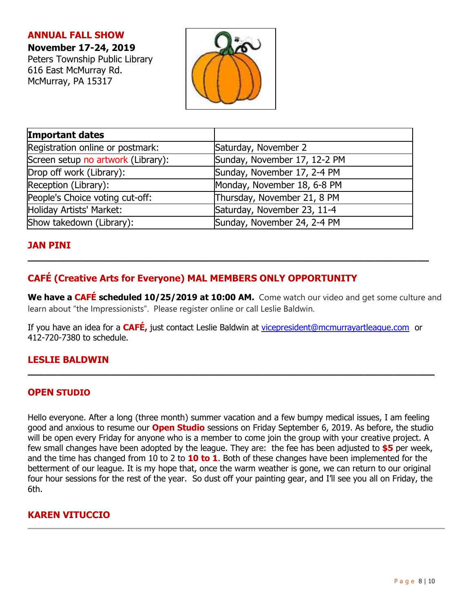## **ANNUAL FALL SHOW**

# **November 17-24, 2019**

Peters Township Public Library 616 East McMurray Rd. McMurray, PA 15317



| Important dates                    |                              |  |  |
|------------------------------------|------------------------------|--|--|
| Registration online or postmark:   | Saturday, November 2         |  |  |
| Screen setup no artwork (Library): | Sunday, November 17, 12-2 PM |  |  |
| Drop off work (Library):           | Sunday, November 17, 2-4 PM  |  |  |
| Reception (Library):               | Monday, November 18, 6-8 PM  |  |  |
| People's Choice voting cut-off:    | Thursday, November 21, 8 PM  |  |  |
| Holiday Artists' Market:           | Saturday, November 23, 11-4  |  |  |
| Show takedown (Library):           | Sunday, November 24, 2-4 PM  |  |  |

# **JAN PINI**

# **CAFÉ (Creative Arts for Everyone) MAL MEMBERS ONLY OPPORTUNITY**

**We have a CAFÉ scheduled 10/25/2019 at 10:00 AM.** Come watch our video and get some culture and learn about "the Impressionists". Please register online or call Leslie Baldwin.

**\_\_\_\_\_\_\_\_\_\_\_\_\_\_\_\_\_\_\_\_\_\_\_\_\_\_\_\_\_\_\_\_\_\_\_\_\_\_\_\_\_\_\_\_\_\_\_\_\_\_\_\_\_\_\_\_\_\_\_\_\_\_\_\_\_\_\_\_**

If you have an idea for a **CAFÉ,** just contact Leslie Baldwin at [vicepresident@mcmurrayartleague.com](mailto:vicepresident@mcmurrayartleague.com) or 412-720-7380 to schedule.

**\_\_\_\_\_\_\_\_\_\_\_\_\_\_\_\_\_\_\_\_\_\_\_\_\_\_\_\_\_\_\_\_\_\_\_\_\_\_\_\_\_\_\_\_\_\_\_\_\_\_\_\_\_\_\_\_\_\_\_\_\_\_\_\_\_\_\_\_\_**

# **LESLIE BALDWIN**

### **OPEN STUDIO**

Hello everyone. After a long (three month) summer vacation and a few bumpy medical issues, I am feeling good and anxious to resume our **Open Studio** sessions on Friday September 6, 2019. As before, the studio will be open every Friday for anyone who is a member to come join the group with your creative project. A few small changes have been adopted by the league. They are: the fee has been adjusted to **\$5** per week, and the time has changed from 10 to 2 to **10 to 1**. Both of these changes have been implemented for the betterment of our league. It is my hope that, once the warm weather is gone, we can return to our original four hour sessions for the rest of the year. So dust off your painting gear, and I'll see you all on Friday, the 6th.

# **KAREN VITUCCIO**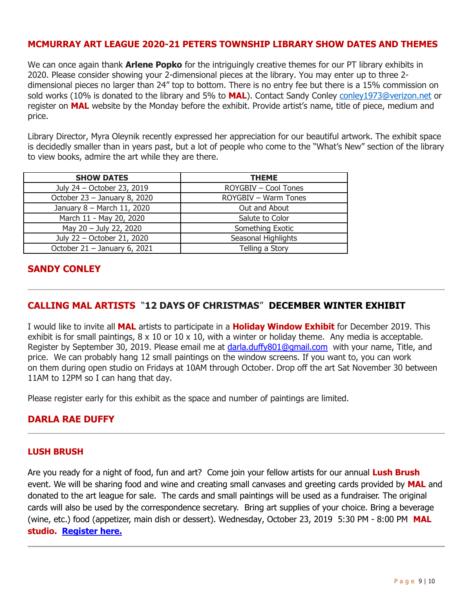## **MCMURRAY ART LEAGUE 2020-21 PETERS TOWNSHIP LIBRARY SHOW DATES AND THEMES**

We can once again thank **Arlene Popko** for the intriguingly creative themes for our PT library exhibits in 2020. Please consider showing your 2-dimensional pieces at the library. You may enter up to three 2 dimensional pieces no larger than 24" top to bottom. There is no entry fee but there is a 15% commission on sold works (10% is donated to the library and 5% to **MAL**). Contact Sandy Conley [conley1973@verizon.net](mailto:conley1973@verizon.net) or register on **MAL** website by the Monday before the exhibit. Provide artist's name, title of piece, medium and price.

Library Director, Myra Oleynik recently expressed her appreciation for our beautiful artwork. The exhibit space is decidedly smaller than in years past, but a lot of people who come to the "What's New" section of the library to view books, admire the art while they are there.

| <b>SHOW DATES</b>            | <b>THEME</b>                |  |  |
|------------------------------|-----------------------------|--|--|
| July 24 - October 23, 2019   | ROYGBIV - Cool Tones        |  |  |
| October 23 - January 8, 2020 | <b>ROYGBIV - Warm Tones</b> |  |  |
| January 8 - March 11, 2020   | Out and About               |  |  |
| March 11 - May 20, 2020      | Salute to Color             |  |  |
| May 20 - July 22, 2020       | Something Exotic            |  |  |
| July 22 - October 21, 2020   | Seasonal Highlights         |  |  |
| October 21 - January 6, 2021 | Telling a Story             |  |  |

# **SANDY CONLEY**

## **CALLING MAL ARTISTS** ―**12 DAYS OF CHRISTMAS**‖ **DECEMBER WINTER EXHIBIT**

I would like to invite all **MAL** artists to participate in a **Holiday Window Exhibit** for December 2019. This exhibit is for small paintings,  $8 \times 10$  or  $10 \times 10$ , with a winter or holiday theme. Any media is acceptable. Register by September 30, 2019. Please email me at [darla.duffy801@gmail.com](file:///C:/Users/prebh/Desktop/darla.duffy801@gmail.com) with your name, Title, and price. We can probably hang 12 small paintings on the window screens. If you want to, you can work on them during open studio on Fridays at 10AM through October. Drop off the art Sat November 30 between 11AM to 12PM so I can hang that day.

Please register early for this exhibit as the space and number of paintings are limited.

### **DARLA RAE DUFFY**

### **LUSH BRUSH**

Are you ready for a night of food, fun and art? Come join your fellow artists for our annual **Lush Brush** event. We will be sharing food and wine and creating small canvases and greeting cards provided by **MAL** and donated to the art league for sale. The cards and small paintings will be used as a fundraiser. The original cards will also be used by the correspondence secretary. Bring art supplies of your choice. Bring a beverage (wine, etc.) food (appetizer, main dish or dessert). Wednesday, October 23, 2019 5:30 PM - 8:00 PM **MAL studio. [Register here.](https://mcmurrayartleague.com/event-3459013)**